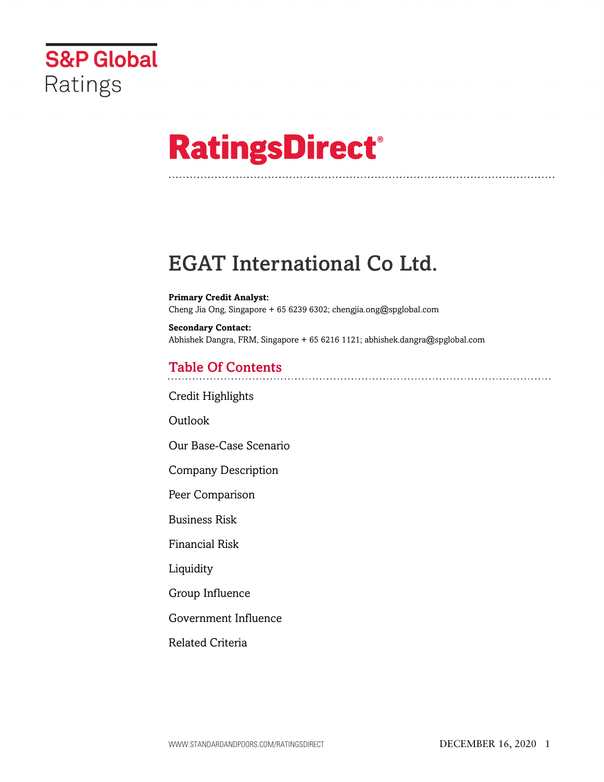

# **RatingsDirect®**

## EGAT International Co Ltd.

**Primary Credit Analyst:** Cheng Jia Ong, Singapore + 65 6239 6302; chengjia.ong@spglobal.com

**Secondary Contact:** Abhishek Dangra, FRM, Singapore + 65 6216 1121; abhishek.dangra@spglobal.com

## Table Of Contents

[Credit Highlights](#page-1-0)

Outlook

[Our Base-Case Scenario](#page-2-0)

[Company Description](#page-3-0)

[Peer Comparison](#page-3-1)

[Business Risk](#page-5-0)

[Financial Risk](#page-5-1)

[Liquidity](#page-8-0)

[Group Influence](#page-8-1)

[Government Influence](#page-9-0)

[Related Criteria](#page-9-1)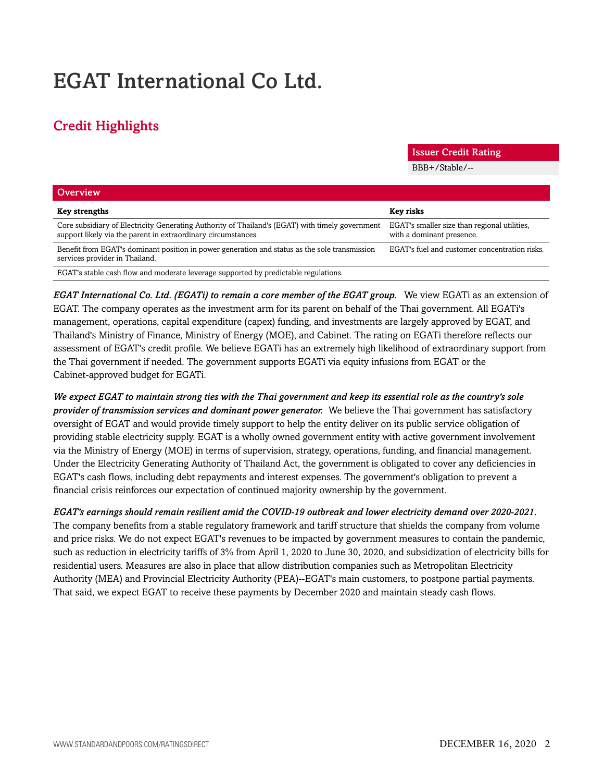## EGAT International Co Ltd.

## <span id="page-1-0"></span>Credit Highlights

Issuer Credit Rating

BBB+/Stable/--

| <b>Overview</b>                                                                                                                                                  |                                                                           |
|------------------------------------------------------------------------------------------------------------------------------------------------------------------|---------------------------------------------------------------------------|
| <b>Key strengths</b>                                                                                                                                             | <b>Key risks</b>                                                          |
| Core subsidiary of Electricity Generating Authority of Thailand's (EGAT) with timely government<br>support likely via the parent in extraordinary circumstances. | EGAT's smaller size than regional utilities,<br>with a dominant presence. |
| Benefit from EGAT's dominant position in power generation and status as the sole transmission<br>services provider in Thailand.                                  | EGAT's fuel and customer concentration risks.                             |
| EGAT's stable cash flow and moderate leverage supported by predictable regulations.                                                                              |                                                                           |

*EGAT International Co. Ltd. (EGATi) to remain a core member of the EGAT group.* We view EGATi as an extension of EGAT. The company operates as the investment arm for its parent on behalf of the Thai government. All EGATi's management, operations, capital expenditure (capex) funding, and investments are largely approved by EGAT, and Thailand's Ministry of Finance, Ministry of Energy (MOE), and Cabinet. The rating on EGATi therefore reflects our assessment of EGAT's credit profile. We believe EGATi has an extremely high likelihood of extraordinary support from the Thai government if needed. The government supports EGATi via equity infusions from EGAT or the Cabinet-approved budget for EGATi.

*We expect EGAT to maintain strong ties with the Thai government and keep its essential role as the country's sole provider of transmission services and dominant power generator.* We believe the Thai government has satisfactory oversight of EGAT and would provide timely support to help the entity deliver on its public service obligation of providing stable electricity supply. EGAT is a wholly owned government entity with active government involvement via the Ministry of Energy (MOE) in terms of supervision, strategy, operations, funding, and financial management. Under the Electricity Generating Authority of Thailand Act, the government is obligated to cover any deficiencies in EGAT's cash flows, including debt repayments and interest expenses. The government's obligation to prevent a financial crisis reinforces our expectation of continued majority ownership by the government.

*EGAT's earnings should remain resilient amid the COVID-19 outbreak and lower electricity demand over 2020-2021.* The company benefits from a stable regulatory framework and tariff structure that shields the company from volume and price risks. We do not expect EGAT's revenues to be impacted by government measures to contain the pandemic, such as reduction in electricity tariffs of 3% from April 1, 2020 to June 30, 2020, and subsidization of electricity bills for residential users. Measures are also in place that allow distribution companies such as Metropolitan Electricity Authority (MEA) and Provincial Electricity Authority (PEA)--EGAT's main customers, to postpone partial payments. That said, we expect EGAT to receive these payments by December 2020 and maintain steady cash flows.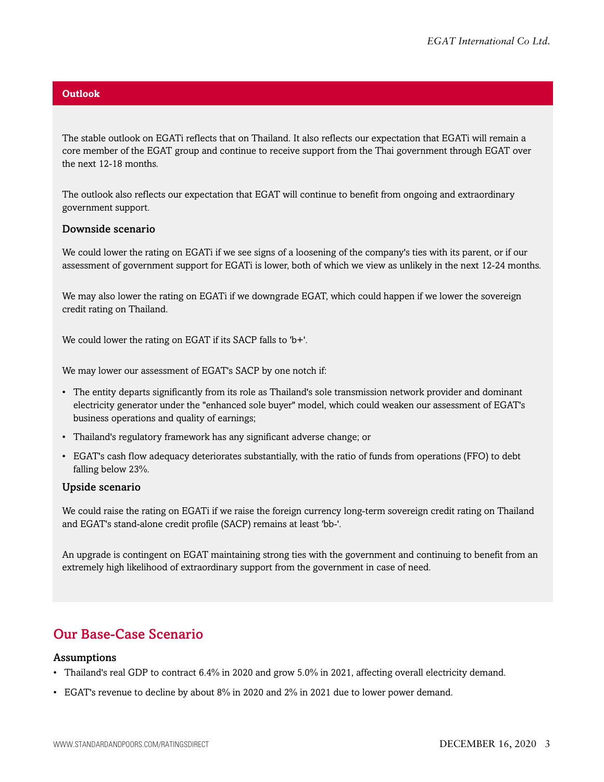#### **Outlook**

The stable outlook on EGATi reflects that on Thailand. It also reflects our expectation that EGATi will remain a core member of the EGAT group and continue to receive support from the Thai government through EGAT over the next 12-18 months.

The outlook also reflects our expectation that EGAT will continue to benefit from ongoing and extraordinary government support.

#### Downside scenario

We could lower the rating on EGATi if we see signs of a loosening of the company's ties with its parent, or if our assessment of government support for EGATi is lower, both of which we view as unlikely in the next 12-24 months.

We may also lower the rating on EGATi if we downgrade EGAT, which could happen if we lower the sovereign credit rating on Thailand.

We could lower the rating on EGAT if its SACP falls to 'b+'.

We may lower our assessment of EGAT's SACP by one notch if:

- The entity departs significantly from its role as Thailand's sole transmission network provider and dominant electricity generator under the "enhanced sole buyer" model, which could weaken our assessment of EGAT's business operations and quality of earnings;
- Thailand's regulatory framework has any significant adverse change; or
- EGAT's cash flow adequacy deteriorates substantially, with the ratio of funds from operations (FFO) to debt falling below 23%.

#### Upside scenario

We could raise the rating on EGATi if we raise the foreign currency long-term sovereign credit rating on Thailand and EGAT's stand-alone credit profile (SACP) remains at least 'bb-'.

An upgrade is contingent on EGAT maintaining strong ties with the government and continuing to benefit from an extremely high likelihood of extraordinary support from the government in case of need.

## <span id="page-2-0"></span>Our Base-Case Scenario

#### Assumptions

- Thailand's real GDP to contract 6.4% in 2020 and grow 5.0% in 2021, affecting overall electricity demand.
- EGAT's revenue to decline by about 8% in 2020 and 2% in 2021 due to lower power demand.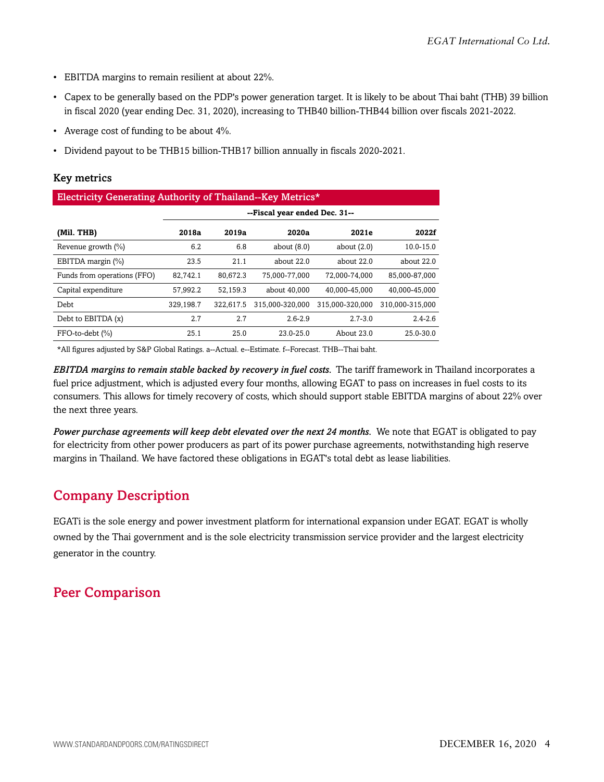- EBITDA margins to remain resilient at about 22%.
- Capex to be generally based on the PDP's power generation target. It is likely to be about Thai baht (THB) 39 billion in fiscal 2020 (year ending Dec. 31, 2020), increasing to THB40 billion-THB44 billion over fiscals 2021-2022.
- Average cost of funding to be about 4%.
- Dividend payout to be THB15 billion-THB17 billion annually in fiscals 2020-2021.

## Key metrics

| Electricity Generating Authority of Thailand--Key Metrics* |                               |           |                 |                 |                 |  |  |
|------------------------------------------------------------|-------------------------------|-----------|-----------------|-----------------|-----------------|--|--|
|                                                            | --Fiscal year ended Dec. 31-- |           |                 |                 |                 |  |  |
| (Mil. THB)                                                 | 2018a                         | 2019a     | 2020a           | 2021e           | 2022f           |  |  |
| Revenue growth $(\% )$                                     | 6.2                           | 6.8       | about $(8.0)$   | about $(2.0)$   | 10.0-15.0       |  |  |
| EBITDA margin (%)                                          | 23.5                          | 21.1      | about 22.0      | about 22.0      | about 22.0      |  |  |
| Funds from operations (FFO)                                | 82.742.1                      | 80.672.3  | 75.000-77.000   | 72.000-74.000   | 85.000-87.000   |  |  |
| Capital expenditure                                        | 57.992.2                      | 52.159.3  | about 40,000    | 40.000-45.000   | 40.000-45.000   |  |  |
| Debt                                                       | 329,198.7                     | 322,617.5 | 315.000-320.000 | 315.000-320.000 | 310.000-315.000 |  |  |
| Debt to EBITDA (x)                                         | 2.7                           | 2.7       | $2.6 - 2.9$     | $2.7 - 3.0$     | $2.4 - 2.6$     |  |  |
| FFO-to-debt (%)                                            | 25.1                          | 25.0      | $23.0 - 25.0$   | About $23.0$    | $25.0 - 30.0$   |  |  |

\*All figures adjusted by S&P Global Ratings. a--Actual. e--Estimate. f--Forecast. THB--Thai baht.

*EBITDA margins to remain stable backed by recovery in fuel costs.* The tariff framework in Thailand incorporates a fuel price adjustment, which is adjusted every four months, allowing EGAT to pass on increases in fuel costs to its consumers. This allows for timely recovery of costs, which should support stable EBITDA margins of about 22% over the next three years.

*Power purchase agreements will keep debt elevated over the next 24 months.* We note that EGAT is obligated to pay for electricity from other power producers as part of its power purchase agreements, notwithstanding high reserve margins in Thailand. We have factored these obligations in EGAT's total debt as lease liabilities.

## <span id="page-3-0"></span>Company Description

EGATi is the sole energy and power investment platform for international expansion under EGAT. EGAT is wholly owned by the Thai government and is the sole electricity transmission service provider and the largest electricity generator in the country.

## <span id="page-3-1"></span>Peer Comparison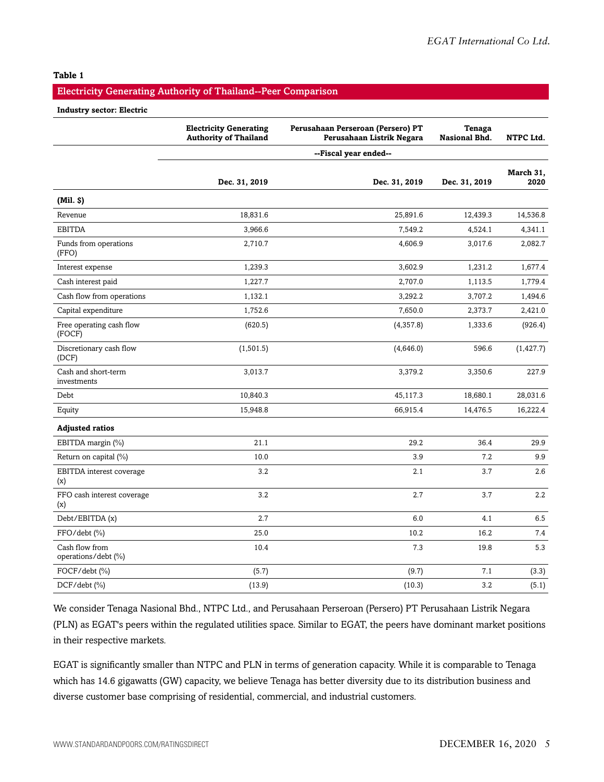#### **Table 1**

#### Electricity Generating Authority of Thailand--Peer Comparison

#### **Industry sector: Electric**

|                                       | <b>Electricity Generating</b><br><b>Authority of Thailand</b> | Perusahaan Perseroan (Persero) PT<br>Perusahaan Listrik Negara | <b>Tenaga</b><br><b>Nasional Bhd.</b> | NTPC Ltd.         |
|---------------------------------------|---------------------------------------------------------------|----------------------------------------------------------------|---------------------------------------|-------------------|
|                                       |                                                               | --Fiscal year ended--                                          |                                       |                   |
|                                       | Dec. 31, 2019                                                 | Dec. 31, 2019                                                  | Dec. 31, 2019                         | March 31,<br>2020 |
| (Mil. S)                              |                                                               |                                                                |                                       |                   |
| Revenue                               | 18,831.6                                                      | 25,891.6                                                       | 12,439.3                              | 14,536.8          |
| <b>EBITDA</b>                         | 3,966.6                                                       | 7,549.2                                                        | 4,524.1                               | 4,341.1           |
| Funds from operations<br>(FFO)        | 2,710.7                                                       | 4,606.9                                                        | 3,017.6                               | 2,082.7           |
| Interest expense                      | 1,239.3                                                       | 3,602.9                                                        | 1,231.2                               | 1,677.4           |
| Cash interest paid                    | 1,227.7                                                       | 2,707.0                                                        | 1,113.5                               | 1,779.4           |
| Cash flow from operations             | 1,132.1                                                       | 3,292.2                                                        | 3,707.2                               | 1,494.6           |
| Capital expenditure                   | 1,752.6                                                       | 7,650.0                                                        | 2,373.7                               | 2,421.0           |
| Free operating cash flow<br>(FOCF)    | (620.5)                                                       | (4,357.8)                                                      | 1,333.6                               | (926.4)           |
| Discretionary cash flow<br>(DCF)      | (1, 501.5)                                                    | (4,646.0)                                                      | 596.6                                 | (1, 427.7)        |
| Cash and short-term<br>investments    | 3,013.7                                                       | 3,379.2                                                        | 3,350.6                               | 227.9             |
| Debt                                  | 10,840.3                                                      | 45,117.3                                                       | 18,680.1                              | 28,031.6          |
| Equity                                | 15,948.8                                                      | 66,915.4                                                       | 14,476.5                              | 16,222.4          |
| <b>Adjusted ratios</b>                |                                                               |                                                                |                                       |                   |
| EBITDA margin (%)                     | 21.1                                                          | 29.2                                                           | 36.4                                  | 29.9              |
| Return on capital (%)                 | 10.0                                                          | 3.9                                                            | 7.2                                   | 9.9               |
| EBITDA interest coverage<br>(x)       | 3.2                                                           | 2.1                                                            | 3.7                                   | 2.6               |
| FFO cash interest coverage<br>(x)     | 3.2                                                           | 2.7                                                            | 3.7                                   | $2.2\,$           |
| Debt/EBITDA(x)                        | 2.7                                                           | 6.0                                                            | 4.1                                   | 6.5               |
| FFO/debt (%)                          | 25.0                                                          | 10.2                                                           | 16.2                                  | 7.4               |
| Cash flow from<br>operations/debt (%) | 10.4                                                          | 7.3                                                            | 19.8                                  | 5.3               |
| FOCF/debt (%)                         | (5.7)                                                         | (9.7)                                                          | 7.1                                   | (3.3)             |
| $DCF/debt$ (%)                        | (13.9)                                                        | (10.3)                                                         | 3.2                                   | (5.1)             |

We consider Tenaga Nasional Bhd., NTPC Ltd., and Perusahaan Perseroan (Persero) PT Perusahaan Listrik Negara (PLN) as EGAT's peers within the regulated utilities space. Similar to EGAT, the peers have dominant market positions in their respective markets.

EGAT is significantly smaller than NTPC and PLN in terms of generation capacity. While it is comparable to Tenaga which has 14.6 gigawatts (GW) capacity, we believe Tenaga has better diversity due to its distribution business and diverse customer base comprising of residential, commercial, and industrial customers.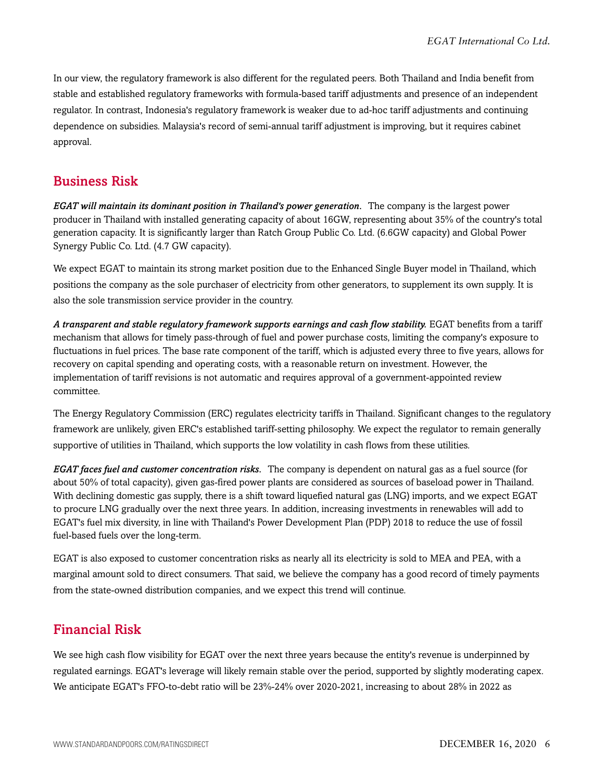In our view, the regulatory framework is also different for the regulated peers. Both Thailand and India benefit from stable and established regulatory frameworks with formula-based tariff adjustments and presence of an independent regulator. In contrast, Indonesia's regulatory framework is weaker due to ad-hoc tariff adjustments and continuing dependence on subsidies. Malaysia's record of semi-annual tariff adjustment is improving, but it requires cabinet approval.

## <span id="page-5-0"></span>Business Risk

*EGAT will maintain its dominant position in Thailand's power generation.* The company is the largest power producer in Thailand with installed generating capacity of about 16GW, representing about 35% of the country's total generation capacity. It is significantly larger than Ratch Group Public Co. Ltd. (6.6GW capacity) and Global Power Synergy Public Co. Ltd. (4.7 GW capacity).

We expect EGAT to maintain its strong market position due to the Enhanced Single Buyer model in Thailand, which positions the company as the sole purchaser of electricity from other generators, to supplement its own supply. It is also the sole transmission service provider in the country.

*A transparent and stable regulatory framework supports earnings and cash flow stability.* EGAT benefits from a tariff mechanism that allows for timely pass-through of fuel and power purchase costs, limiting the company's exposure to fluctuations in fuel prices. The base rate component of the tariff, which is adjusted every three to five years, allows for recovery on capital spending and operating costs, with a reasonable return on investment. However, the implementation of tariff revisions is not automatic and requires approval of a government-appointed review committee.

The Energy Regulatory Commission (ERC) regulates electricity tariffs in Thailand. Significant changes to the regulatory framework are unlikely, given ERC's established tariff-setting philosophy. We expect the regulator to remain generally supportive of utilities in Thailand, which supports the low volatility in cash flows from these utilities.

*EGAT faces fuel and customer concentration risks.* The company is dependent on natural gas as a fuel source (for about 50% of total capacity), given gas-fired power plants are considered as sources of baseload power in Thailand. With declining domestic gas supply, there is a shift toward liquefied natural gas (LNG) imports, and we expect EGAT to procure LNG gradually over the next three years. In addition, increasing investments in renewables will add to EGAT's fuel mix diversity, in line with Thailand's Power Development Plan (PDP) 2018 to reduce the use of fossil fuel-based fuels over the long-term.

EGAT is also exposed to customer concentration risks as nearly all its electricity is sold to MEA and PEA, with a marginal amount sold to direct consumers. That said, we believe the company has a good record of timely payments from the state-owned distribution companies, and we expect this trend will continue.

## <span id="page-5-1"></span>Financial Risk

We see high cash flow visibility for EGAT over the next three years because the entity's revenue is underpinned by regulated earnings. EGAT's leverage will likely remain stable over the period, supported by slightly moderating capex. We anticipate EGAT's FFO-to-debt ratio will be 23%-24% over 2020-2021, increasing to about 28% in 2022 as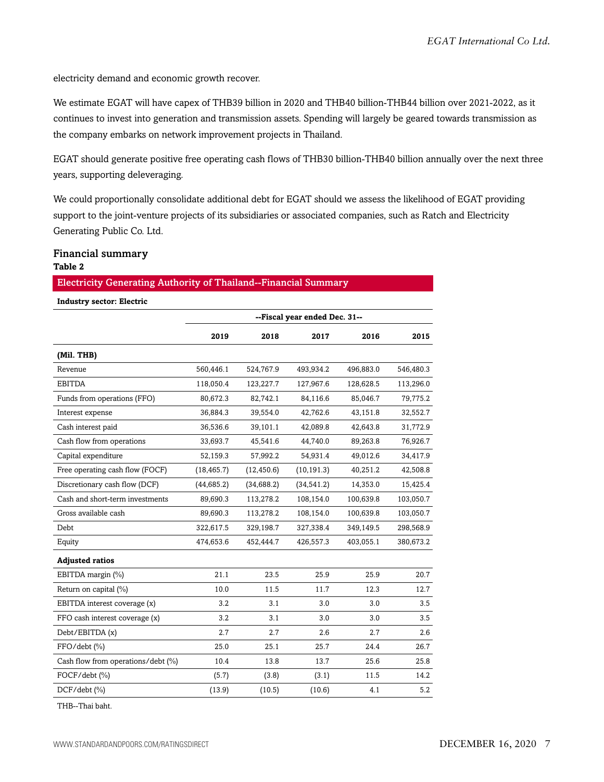electricity demand and economic growth recover.

We estimate EGAT will have capex of THB39 billion in 2020 and THB40 billion-THB44 billion over 2021-2022, as it continues to invest into generation and transmission assets. Spending will largely be geared towards transmission as the company embarks on network improvement projects in Thailand.

EGAT should generate positive free operating cash flows of THB30 billion-THB40 billion annually over the next three years, supporting deleveraging.

We could proportionally consolidate additional debt for EGAT should we assess the likelihood of EGAT providing support to the joint-venture projects of its subsidiaries or associated companies, such as Ratch and Electricity Generating Public Co. Ltd.

#### Financial summary **Table 2**

#### Electricity Generating Authority of Thailand--Financial Summary

**Industry sector: Electric**

|                                    | --Fiscal year ended Dec. 31-- |             |             |           |           |  |
|------------------------------------|-------------------------------|-------------|-------------|-----------|-----------|--|
|                                    | 2019                          | 2018        | 2017        | 2016      | 2015      |  |
| (Mil. THB)                         |                               |             |             |           |           |  |
| Revenue                            | 560,446.1                     | 524,767.9   | 493,934.2   | 496,883.0 | 546,480.3 |  |
| <b>EBITDA</b>                      | 118,050.4                     | 123,227.7   | 127,967.6   | 128,628.5 | 113,296.0 |  |
| Funds from operations (FFO)        | 80,672.3                      | 82,742.1    | 84,116.6    | 85,046.7  | 79,775.2  |  |
| Interest expense                   | 36,884.3                      | 39,554.0    | 42,762.6    | 43,151.8  | 32,552.7  |  |
| Cash interest paid                 | 36,536.6                      | 39,101.1    | 42,089.8    | 42,643.8  | 31,772.9  |  |
| Cash flow from operations          | 33,693.7                      | 45,541.6    | 44,740.0    | 89,263.8  | 76,926.7  |  |
| Capital expenditure                | 52,159.3                      | 57,992.2    | 54,931.4    | 49,012.6  | 34,417.9  |  |
| Free operating cash flow (FOCF)    | (18, 465.7)                   | (12, 450.6) | (10, 191.3) | 40,251.2  | 42,508.8  |  |
| Discretionary cash flow (DCF)      | (44, 685.2)                   | (34, 688.2) | (34, 541.2) | 14,353.0  | 15,425.4  |  |
| Cash and short-term investments    | 89,690.3                      | 113,278.2   | 108,154.0   | 100,639.8 | 103,050.7 |  |
| Gross available cash               | 89,690.3                      | 113,278.2   | 108,154.0   | 100,639.8 | 103,050.7 |  |
| Debt                               | 322,617.5                     | 329,198.7   | 327,338.4   | 349,149.5 | 298,568.9 |  |
| Equity                             | 474,653.6                     | 452,444.7   | 426,557.3   | 403,055.1 | 380,673.2 |  |
| <b>Adjusted ratios</b>             |                               |             |             |           |           |  |
| EBITDA margin (%)                  | 21.1                          | 23.5        | 25.9        | 25.9      | 20.7      |  |
| Return on capital (%)              | 10.0                          | 11.5        | 11.7        | 12.3      | 12.7      |  |
| EBITDA interest coverage (x)       | 3.2                           | 3.1         | 3.0         | 3.0       | 3.5       |  |
| FFO cash interest coverage (x)     | 3.2                           | 3.1         | 3.0         | 3.0       | 3.5       |  |
| Debt/EBITDA (x)                    | 2.7                           | 2.7         | 2.6         | 2.7       | 2.6       |  |
| FFO/debt (%)                       | 25.0                          | 25.1        | 25.7        | 24.4      | 26.7      |  |
| Cash flow from operations/debt (%) | 10.4                          | 13.8        | 13.7        | 25.6      | 25.8      |  |
| FOCF/debt (%)                      | (5.7)                         | (3.8)       | (3.1)       | 11.5      | 14.2      |  |
| $DCF/debt$ (%)                     | (13.9)                        | (10.5)      | (10.6)      | 4.1       | 5.2       |  |

THB--Thai baht.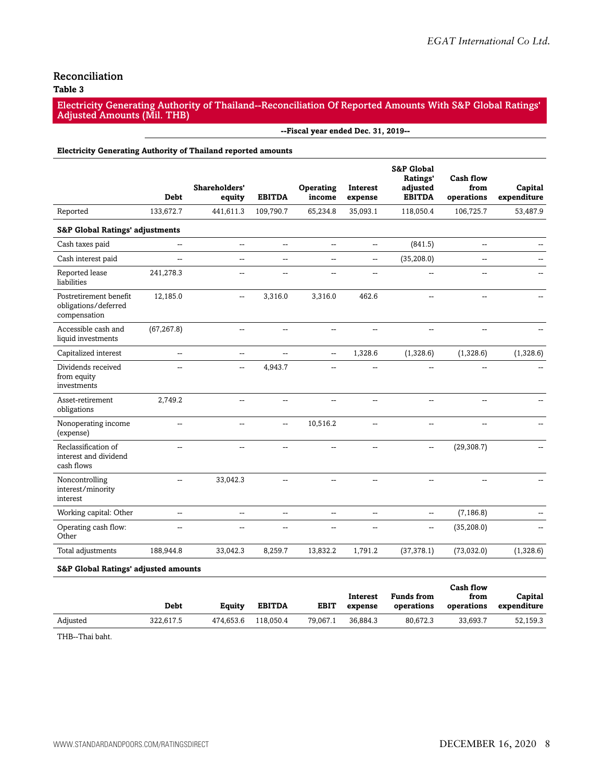### Reconciliation

#### **Table 3**

Electricity Generating Authority of Thailand--Reconciliation Of Reported Amounts With S&P Global Ratings' Adjusted Amounts (Mil. THB)

**--Fiscal year ended Dec. 31, 2019--**

#### **Electricity Generating Authority of Thailand reported amounts**

|                                                                | <b>Debt</b>              | Shareholders'<br>equity  | <b>EBITDA</b>            | Operating<br>income      | Interest<br>expense | <b>S&amp;P Global</b><br>Ratings'<br>adjusted<br><b>EBITDA</b> | <b>Cash flow</b><br>from<br>operations | Capital<br>expenditure |
|----------------------------------------------------------------|--------------------------|--------------------------|--------------------------|--------------------------|---------------------|----------------------------------------------------------------|----------------------------------------|------------------------|
| Reported                                                       | 133,672.7                | 441,611.3                | 109,790.7                | 65,234.8                 | 35,093.1            | 118,050.4                                                      | 106,725.7                              | 53,487.9               |
| <b>S&amp;P Global Ratings' adjustments</b>                     |                          |                          |                          |                          |                     |                                                                |                                        |                        |
| Cash taxes paid                                                | --                       | $\overline{\phantom{a}}$ | Щ,                       | --                       | --                  | (841.5)                                                        | $\overline{\phantom{a}}$               |                        |
| Cash interest paid                                             | $\overline{\phantom{a}}$ | $\overline{a}$           | $\mathbf{u}$             | Щ,                       | --                  | (35, 208.0)                                                    | $\overline{\phantom{a}}$               |                        |
| Reported lease<br>liabilities                                  | 241,278.3                | $\overline{\phantom{a}}$ | $\overline{\phantom{a}}$ | $\overline{a}$           | --                  | --                                                             | $\overline{\phantom{a}}$               |                        |
| Postretirement benefit<br>obligations/deferred<br>compensation | 12,185.0                 | $\overline{\phantom{a}}$ | 3,316.0                  | 3,316.0                  | 462.6               |                                                                |                                        |                        |
| Accessible cash and<br>liquid investments                      | (67, 267.8)              | $\overline{\phantom{a}}$ | $\mathbf{u}$             | --                       | --                  | $-$                                                            |                                        |                        |
| Capitalized interest                                           | $\overline{\phantom{a}}$ | $\overline{a}$           | $\mathbf{u}$             | $\overline{\phantom{a}}$ | 1,328.6             | (1,328.6)                                                      | (1,328.6)                              | (1,328.6)              |
| Dividends received<br>from equity<br>investments               | $\overline{a}$           | $\overline{\phantom{a}}$ | 4,943.7                  | $-$                      | --                  | --                                                             |                                        |                        |
| Asset-retirement<br>obligations                                | 2,749.2                  | $\overline{a}$           | $\overline{\phantom{a}}$ |                          | --                  | --                                                             | $\overline{\phantom{a}}$               |                        |
| Nonoperating income<br>(expense)                               | $\overline{\phantom{a}}$ | $\overline{\phantom{a}}$ | $\overline{\phantom{a}}$ | 10,516.2                 | --                  | --                                                             | $\overline{\phantom{a}}$               |                        |
| Reclassification of<br>interest and dividend<br>cash flows     | $\overline{a}$           |                          | --                       |                          |                     | --                                                             | (29, 308.7)                            |                        |
| Noncontrolling<br>interest/minority<br>interest                | $\overline{a}$           | 33,042.3                 | --                       | --                       | --                  | $\overline{a}$                                                 |                                        |                        |
| Working capital: Other                                         | $\overline{a}$           | $\overline{a}$           | $\mathbf{u}$             | $\overline{a}$           | --                  | $-$                                                            | (7, 186.8)                             |                        |
| Operating cash flow:<br>Other                                  | --                       |                          | --                       | --                       | --                  | --                                                             | (35, 208.0)                            |                        |
| Total adjustments                                              | 188,944.8                | 33,042.3                 | 8,259.7                  | 13,832.2                 | 1,791.2             | (37, 378.1)                                                    | (73,032.0)                             | (1,328.6)              |
|                                                                |                          |                          |                          |                          |                     |                                                                |                                        |                        |

#### **S&P Global Ratings' adjusted amounts**

|          |           |           |               |             | Interest | <b>Funds from</b> | Cash flow<br>from | Capital     |
|----------|-----------|-----------|---------------|-------------|----------|-------------------|-------------------|-------------|
|          | Debt      | Equity    | <b>EBITDA</b> | <b>EBIT</b> | expense  | operations        | operations        | expenditure |
| Adjusted | 322.617.5 | 474.653.6 | 118,050.4     | 79.067.1    | 36.884.3 | 80.672.3          | 33.693.7          | 52.159.3    |

THB--Thai baht.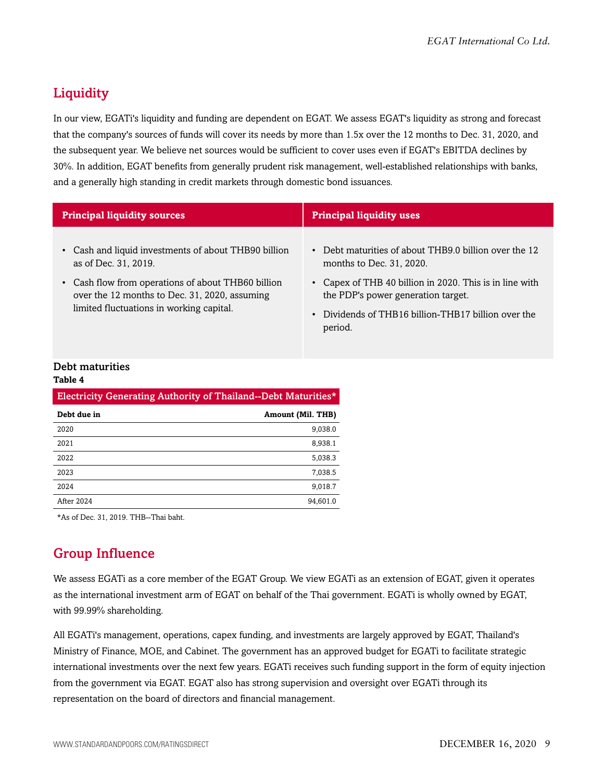## <span id="page-8-0"></span>**Liquidity**

In our view, EGATi's liquidity and funding are dependent on EGAT. We assess EGAT's liquidity as strong and forecast that the company's sources of funds will cover its needs by more than 1.5x over the 12 months to Dec. 31, 2020, and the subsequent year. We believe net sources would be sufficient to cover uses even if EGAT's EBITDA declines by 30%. In addition, EGAT benefits from generally prudent risk management, well-established relationships with banks, and a generally high standing in credit markets through domestic bond issuances.

| <b>Principal liquidity sources</b>                                                                                                              | <b>Principal liquidity uses</b>                                                                                                                             |
|-------------------------------------------------------------------------------------------------------------------------------------------------|-------------------------------------------------------------------------------------------------------------------------------------------------------------|
| • Cash and liquid investments of about THB90 billion<br>as of Dec. 31, 2019.                                                                    | • Debt maturities of about THB9.0 billion over the 12<br>months to Dec. 31, 2020.                                                                           |
| • Cash flow from operations of about THB60 billion<br>over the 12 months to Dec. 31, 2020, assuming<br>limited fluctuations in working capital. | Capex of THB 40 billion in 2020. This is in line with<br>the PDP's power generation target.<br>Dividends of THB16 billion-THB17 billion over the<br>period. |

### Debt maturities

#### **Table 4**

| Electricity Generating Authority of Thailand--Debt Maturities* |                          |  |
|----------------------------------------------------------------|--------------------------|--|
| Debt due in                                                    | <b>Amount (Mil. THB)</b> |  |
| 2020                                                           | 9,038.0                  |  |
| 2021                                                           | 8,938.1                  |  |
| 2022                                                           | 5,038.3                  |  |
| 2023                                                           | 7,038.5                  |  |
| 2024                                                           | 9.018.7                  |  |
| After 2024                                                     | 94.601.0                 |  |

<span id="page-8-1"></span>\*As of Dec. 31, 2019. THB--Thai baht.

## Group Influence

We assess EGATi as a core member of the EGAT Group. We view EGATi as an extension of EGAT, given it operates as the international investment arm of EGAT on behalf of the Thai government. EGATi is wholly owned by EGAT, with 99.99% shareholding.

All EGATi's management, operations, capex funding, and investments are largely approved by EGAT, Thailand's Ministry of Finance, MOE, and Cabinet. The government has an approved budget for EGATi to facilitate strategic international investments over the next few years. EGATi receives such funding support in the form of equity injection from the government via EGAT. EGAT also has strong supervision and oversight over EGATi through its representation on the board of directors and financial management.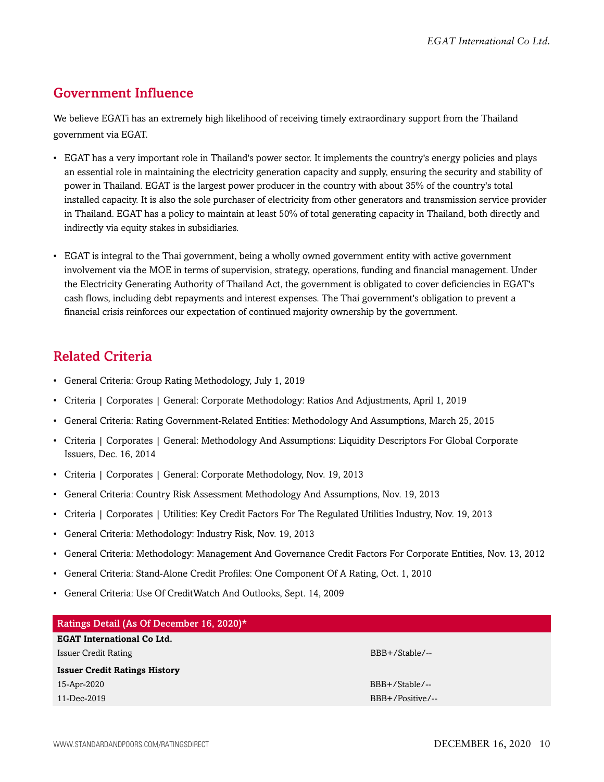## <span id="page-9-0"></span>Government Influence

We believe EGATi has an extremely high likelihood of receiving timely extraordinary support from the Thailand government via EGAT.

- EGAT has a very important role in Thailand's power sector. It implements the country's energy policies and plays an essential role in maintaining the electricity generation capacity and supply, ensuring the security and stability of power in Thailand. EGAT is the largest power producer in the country with about 35% of the country's total installed capacity. It is also the sole purchaser of electricity from other generators and transmission service provider in Thailand. EGAT has a policy to maintain at least 50% of total generating capacity in Thailand, both directly and indirectly via equity stakes in subsidiaries.
- EGAT is integral to the Thai government, being a wholly owned government entity with active government involvement via the MOE in terms of supervision, strategy, operations, funding and financial management. Under the Electricity Generating Authority of Thailand Act, the government is obligated to cover deficiencies in EGAT's cash flows, including debt repayments and interest expenses. The Thai government's obligation to prevent a financial crisis reinforces our expectation of continued majority ownership by the government.

## <span id="page-9-1"></span>Related Criteria

- General Criteria: Group Rating Methodology, July 1, 2019
- Criteria | Corporates | General: Corporate Methodology: Ratios And Adjustments, April 1, 2019
- General Criteria: Rating Government-Related Entities: Methodology And Assumptions, March 25, 2015
- Criteria | Corporates | General: Methodology And Assumptions: Liquidity Descriptors For Global Corporate Issuers, Dec. 16, 2014
- Criteria | Corporates | General: Corporate Methodology, Nov. 19, 2013
- General Criteria: Country Risk Assessment Methodology And Assumptions, Nov. 19, 2013
- Criteria | Corporates | Utilities: Key Credit Factors For The Regulated Utilities Industry, Nov. 19, 2013
- General Criteria: Methodology: Industry Risk, Nov. 19, 2013
- General Criteria: Methodology: Management And Governance Credit Factors For Corporate Entities, Nov. 13, 2012
- General Criteria: Stand-Alone Credit Profiles: One Component Of A Rating, Oct. 1, 2010
- General Criteria: Use Of CreditWatch And Outlooks, Sept. 14, 2009

| Ratings Detail (As Of December 16, 2020)* |                  |
|-------------------------------------------|------------------|
| <b>EGAT International Co Ltd.</b>         |                  |
| Issuer Credit Rating                      | BBB+/Stable/--   |
| <b>Issuer Credit Ratings History</b>      |                  |
| 15-Apr-2020                               | BBB+/Stable/--   |
| 11-Dec-2019                               | BBB+/Positive/-- |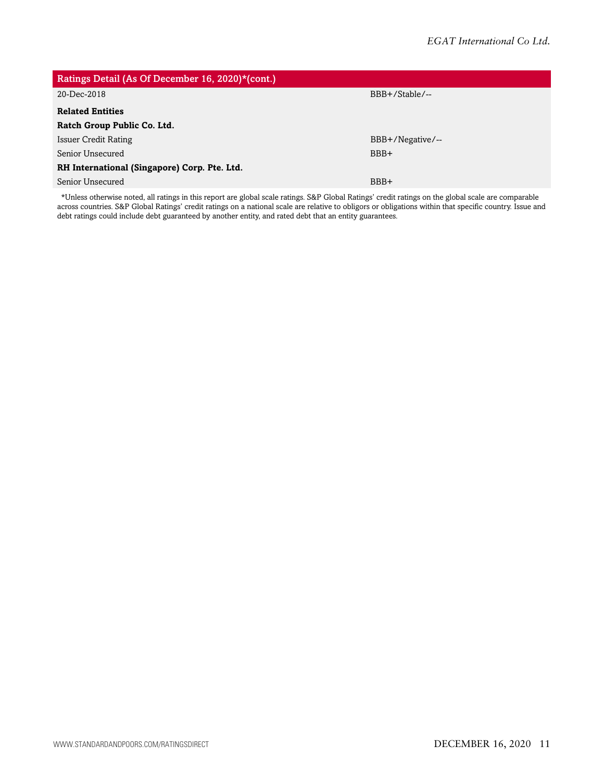| Ratings Detail (As Of December 16, 2020)*(cont.) |                  |
|--------------------------------------------------|------------------|
| 20-Dec-2018                                      | BBB+/Stable/--   |
| <b>Related Entities</b>                          |                  |
| Ratch Group Public Co. Ltd.                      |                  |
| <b>Issuer Credit Rating</b>                      | BBB+/Negative/-- |
| Senior Unsecured                                 | BBB+             |
| RH International (Singapore) Corp. Pte. Ltd.     |                  |
| Senior Unsecured                                 | BBB+             |
|                                                  |                  |

\*Unless otherwise noted, all ratings in this report are global scale ratings. S&P Global Ratings' credit ratings on the global scale are comparable across countries. S&P Global Ratings' credit ratings on a national scale are relative to obligors or obligations within that specific country. Issue and debt ratings could include debt guaranteed by another entity, and rated debt that an entity guarantees.